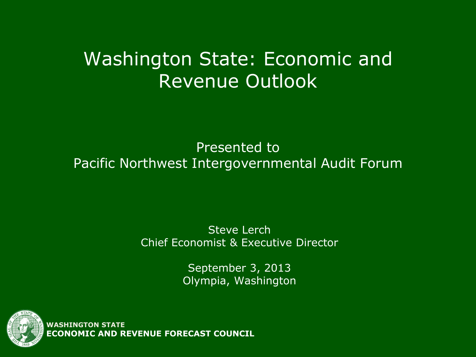#### Washington State: Economic and Revenue Outlook

#### Presented to Pacific Northwest Intergovernmental Audit Forum

#### Steve Lerch Chief Economist & Executive Director

September 3, 2013 Olympia, Washington



**WASHINGTON STATE ECONOMIC AND REVENUE FORECAST COUNCIL**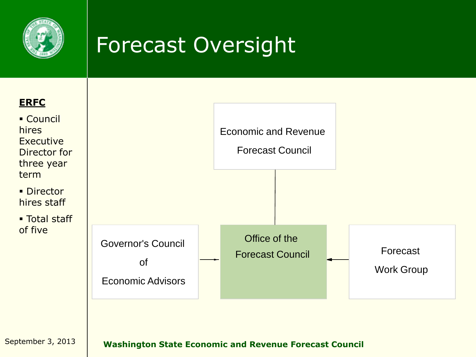

# Forecast Oversight

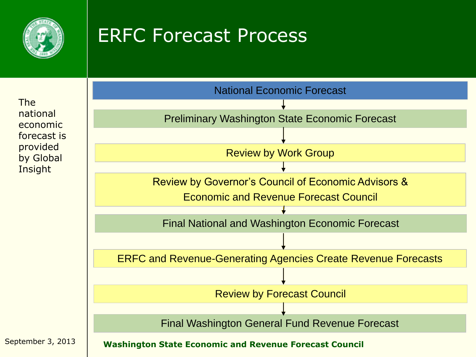

#### ERFC Forecast Process

The national economic forecast is provided by Global **Insight** 

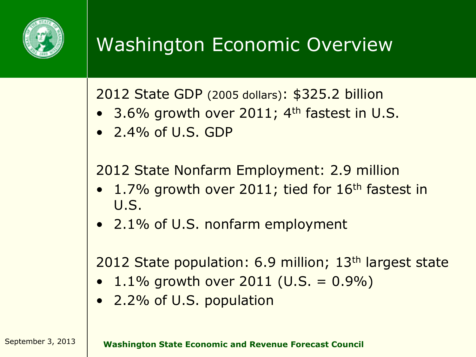

# Washington Economic Overview

2012 State GDP (2005 dollars): \$325.2 billion

- 3.6% growth over 2011; 4<sup>th</sup> fastest in U.S.
- $\bullet$  2.4% of U.S. GDP

2012 State Nonfarm Employment: 2.9 million

- 1.7% growth over 2011; tied for 16<sup>th</sup> fastest in U.S.
- 2.1% of U.S. nonfarm employment

2012 State population: 6.9 million; 13th largest state

- $1.1\%$  growth over 2011 (U.S. = 0.9%)
- 2.2% of U.S. population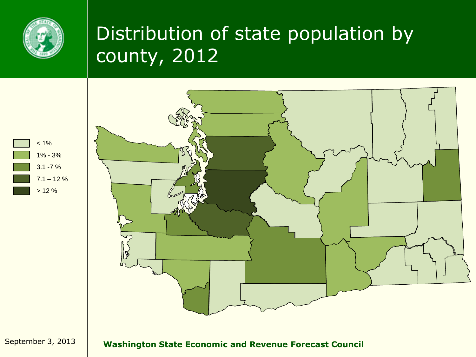

## Distribution of state population by county, 2012



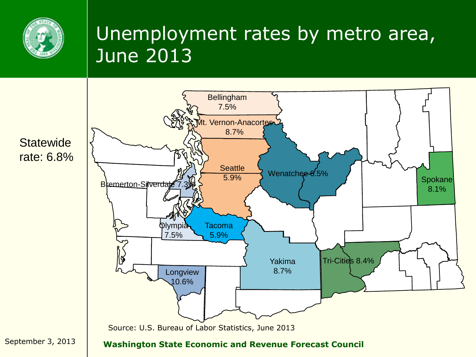

#### Unemployment rates by metro area, June 2013

**Statewide** rate: 6.8%

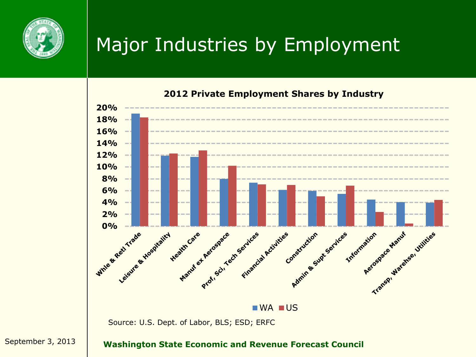

#### Major Industries by Employment



**2012 Private Employment Shares by Industry**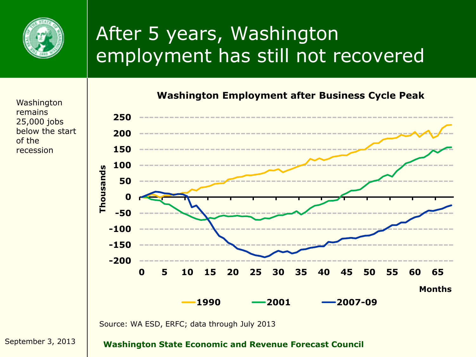

# After 5 years, Washington employment has still not recovered

Washington remains 25,000 jobs below the start of the recession



Source: WA ESD, ERFC; data through July 2013

September 3, 2013 **Washington State Economic and Revenue Forecast Council**

**Washington Employment after Business Cycle Peak**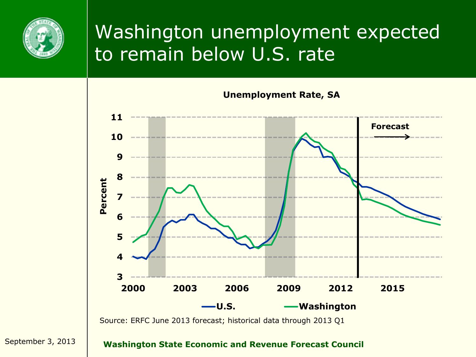

#### Washington unemployment expected to remain below U.S. rate

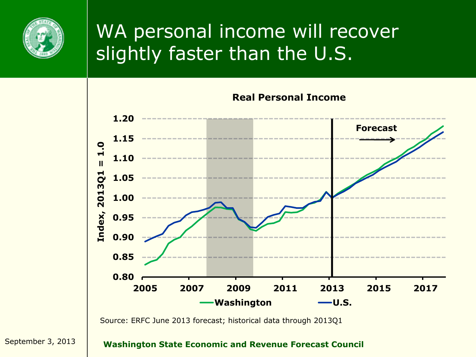

#### WA personal income will recover slightly faster than the U.S.

**Real Personal Income 1.20 Forecast 1.15**  $\overline{1}$ .0 **Index, 2013Q1 = 1.0 1.10**  $\overline{\mathbf{u}}$ **3Q1 1.05** 201 **1.00** Index, **0.95 0.90 0.85 0.80 2005 2007 2009 2011 2013 2015 2017 Washington —U.S.** 

Source: ERFC June 2013 forecast; historical data through 2013Q1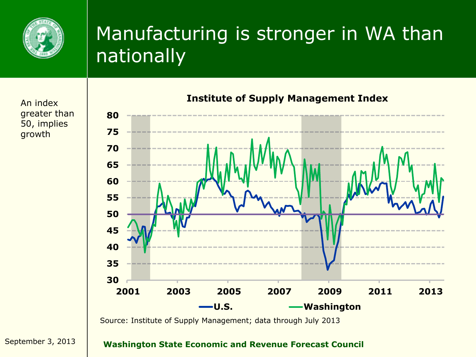

### Manufacturing is stronger in WA than nationally

An index greater than 50, implies growth



**Institute of Supply Management Index**

Source: Institute of Supply Management; data through July 2013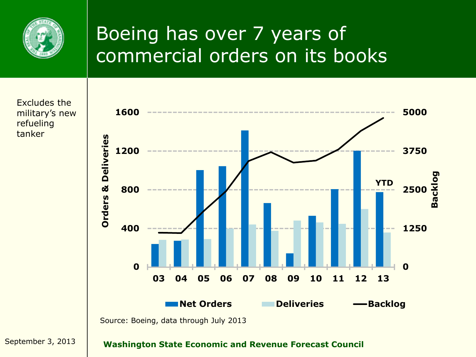

## Boeing has over 7 years of commercial orders on its books



Excludes the military's new refueling tanker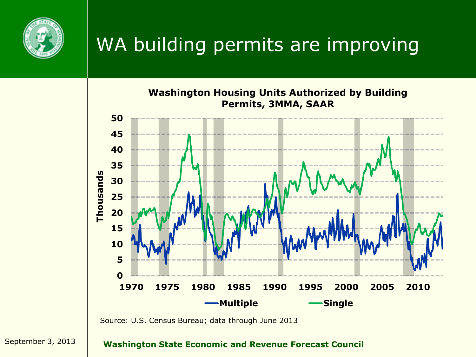

# WA building permits are improving



![](_page_12_Figure_3.jpeg)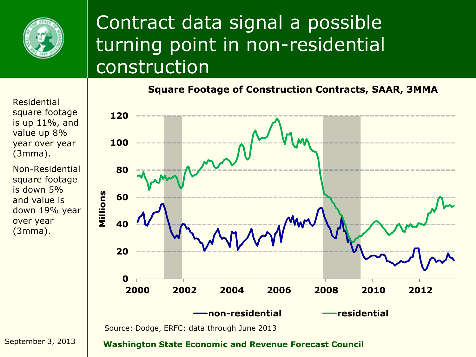![](_page_13_Picture_0.jpeg)

#### Contract data signal a possible turning point in non-residential construction

![](_page_13_Figure_2.jpeg)

Residential square footage is up 11%, and value up 8% year over year (3mma).

Non-Residential square footage is down 5% and value is down 19% year over year (3mma).

![](_page_13_Figure_5.jpeg)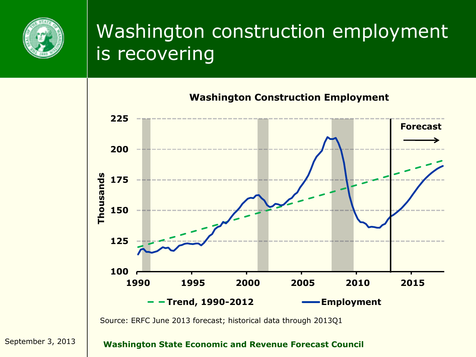![](_page_14_Picture_0.jpeg)

### Washington construction employment is recovering

![](_page_14_Figure_2.jpeg)

Source: ERFC June 2013 forecast; historical data through 2013Q1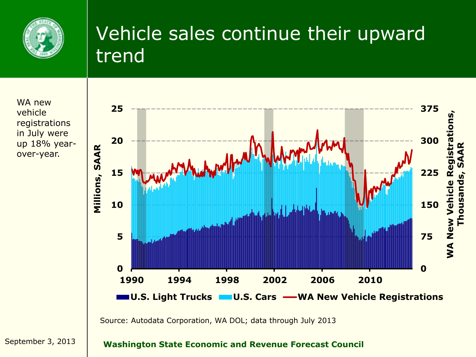![](_page_15_Picture_0.jpeg)

#### Vehicle sales continue their upward trend

WA new vehicle registrations in July were up 18% yearover-year.

![](_page_15_Figure_3.jpeg)

Source: Autodata Corporation, WA DOL; data through July 2013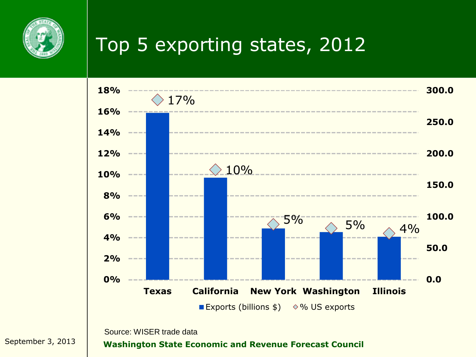![](_page_16_Picture_0.jpeg)

# Top 5 exporting states, 2012

![](_page_16_Figure_2.jpeg)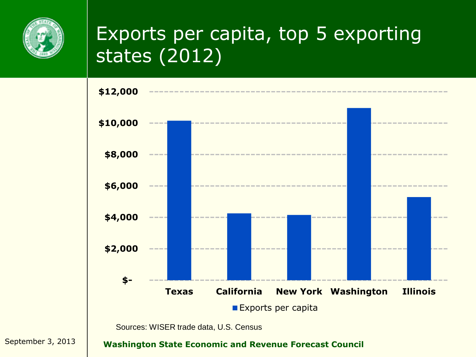![](_page_17_Picture_0.jpeg)

## Exports per capita, top 5 exporting states (2012)

![](_page_17_Figure_2.jpeg)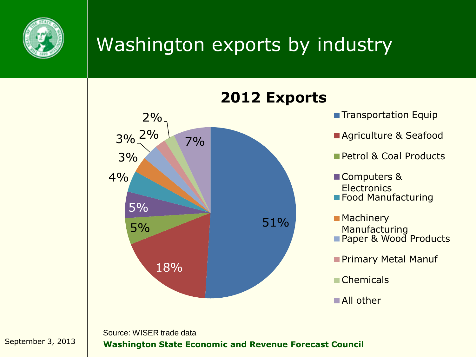![](_page_18_Picture_0.jpeg)

## Washington exports by industry

![](_page_18_Figure_2.jpeg)

#### **2012 Exports**

- **Transportation Equip**
- **Agriculture & Seafood**
- Petrol & Coal Products
- Computers & **Electronics**
- **Food Manufacturing**
- Machinery Manufacturing **Paper & Wood Products**
- **Primary Metal Manuf**
- **■Chemicals**
- ■All other

Source: WISER trade data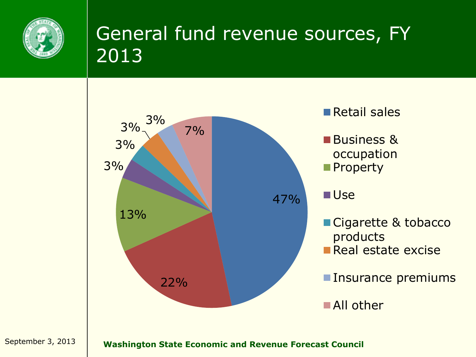![](_page_19_Picture_0.jpeg)

# General fund revenue sources, FY 2013

![](_page_19_Figure_2.jpeg)

- Retail sales
- **Business &** occupation **Property**
- **■Use**
- Cigarette & tobacco products
- Real estate excise
- **Insurance premiums**

■All other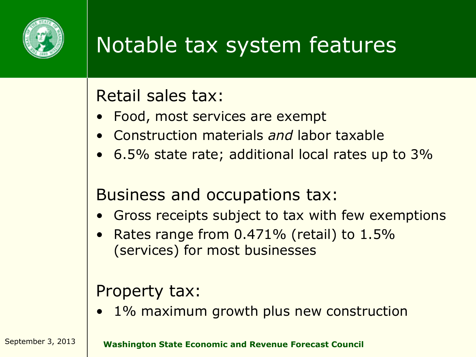![](_page_20_Picture_0.jpeg)

# Notable tax system features

#### Retail sales tax:

- Food, most services are exempt
- Construction materials *and* labor taxable
- 6.5% state rate; additional local rates up to 3%

#### Business and occupations tax:

- Gross receipts subject to tax with few exemptions
- Rates range from 0.471% (retail) to 1.5% (services) for most businesses

#### Property tax:

• 1% maximum growth plus new construction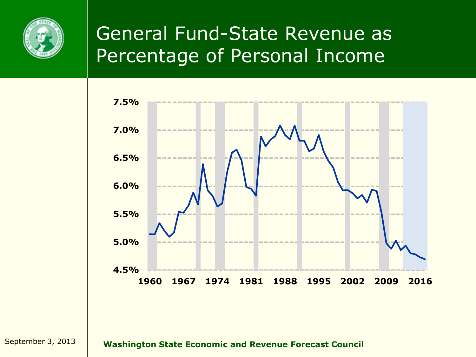![](_page_21_Picture_0.jpeg)

#### General Fund-State Revenue as Percentage of Personal Income

![](_page_21_Figure_2.jpeg)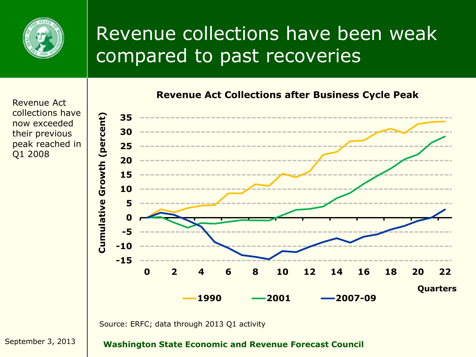![](_page_22_Picture_0.jpeg)

## Revenue collections have been weak compared to past recoveries

Revenue Act collections have now exceeded their previous peak reached in Q1 2008

![](_page_22_Figure_3.jpeg)

Source: ERFC; data through 2013 Q1 activity

September 3, 2013 **Washington State Economic and Revenue Forecast Council**

**Revenue Act Collections after Business Cycle Peak**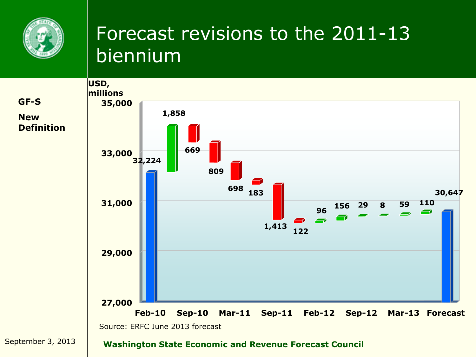![](_page_23_Picture_0.jpeg)

#### Forecast revisions to the 2011-13 biennium

![](_page_23_Figure_2.jpeg)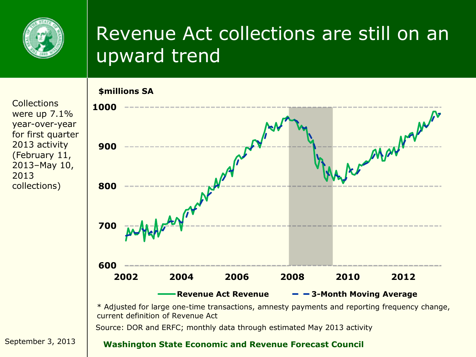![](_page_24_Picture_0.jpeg)

#### Revenue Act collections are still on an upward trend

**Collections** were up 7.1% year-over-year for first quarter 2013 activity (February 11, 2013–May 10, 2013 collections)

![](_page_24_Figure_3.jpeg)

Source: DOR and ERFC; monthly data through estimated May 2013 activity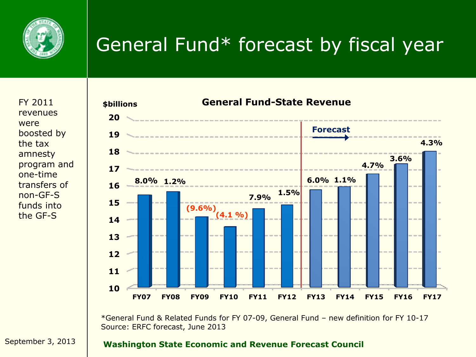![](_page_25_Picture_0.jpeg)

# General Fund\* forecast by fiscal year

revenues were boosted by the tax amnesty program and one-time transfers of non-GF-S funds into the GF-S

![](_page_25_Figure_3.jpeg)

\*General Fund & Related Funds for FY 07-09, General Fund – new definition for FY 10-17 Source: ERFC forecast, June 2013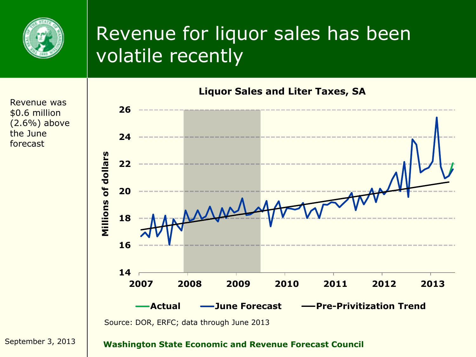![](_page_26_Picture_0.jpeg)

#### Revenue for liquor sales has been volatile recently

![](_page_26_Figure_2.jpeg)

\$0.6 million (2.6%) above the June forecast

Revenue was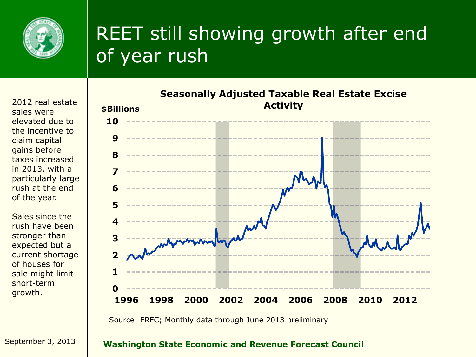![](_page_27_Picture_0.jpeg)

# REET still showing growth after end of year rush

2012 real estate sales were elevated due to the incentive to claim capital gains before taxes increased in 2013, with a particularly large rush at the end of the year.

Sales since the rush have been stronger than expected but a current shortage of houses for sale might limit short-term growth.

![](_page_27_Figure_4.jpeg)

Source: ERFC; Monthly data through June 2013 preliminary